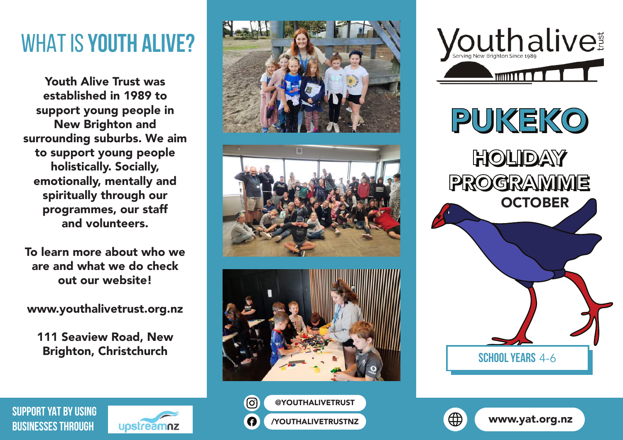## WHAT IS **YOUTH ALIVE?**

Youth Alive Trust was established in 1989 to support young people in New Brighton and surrounding suburbs. We aim to support young people holistically. Socially, emotionally, mentally and spiritually through our programmes, our staff and volunteers.

To learn more about who we are and what we do check out our website!

www.youthalivetrust.org.nz

111 Seaview Road, New Brighton, Christchurch





Youthalive Fighton Since 1989

**School years** 4-6